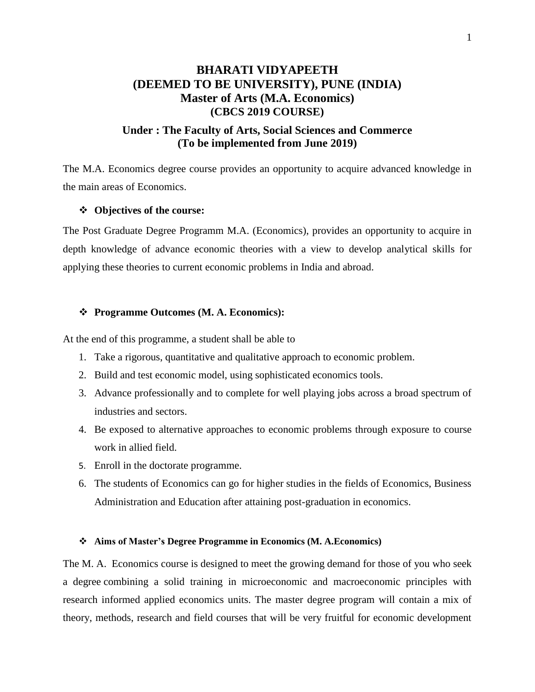# **BHARATI VIDYAPEETH (DEEMED TO BE UNIVERSITY), PUNE (INDIA) Master of Arts (M.A. Economics) (CBCS 2019 COURSE)**

## **Under : The Faculty of Arts, Social Sciences and Commerce (To be implemented from June 2019)**

The M.A. Economics degree course provides an opportunity to acquire advanced knowledge in the main areas of Economics.

### **Objectives of the course:**

The Post Graduate Degree Programm M.A. (Economics), provides an opportunity to acquire in depth knowledge of advance economic theories with a view to develop analytical skills for applying these theories to current economic problems in India and abroad.

### **Programme Outcomes (M. A. Economics):**

At the end of this programme, a student shall be able to

- 1. Take a rigorous, quantitative and qualitative approach to economic problem.
- 2. Build and test economic model, using sophisticated economics tools.
- 3. Advance professionally and to complete for well playing jobs across a broad spectrum of industries and sectors.
- 4. Be exposed to alternative approaches to economic problems through exposure to course work in allied field.
- 5. Enroll in the doctorate programme.
- 6. The students of Economics can go for higher studies in the fields of Economics, Business Administration and Education after attaining post-graduation in economics.

### **Aims of Master's Degree Programme in Economics (M. A.Economics)**

The M. A. Economics course is designed to meet the growing demand for those of you who seek a degree combining a solid training in microeconomic and macroeconomic principles with research informed applied economics units. The master degree program will contain a mix of theory, methods, research and field courses that will be very fruitful for economic development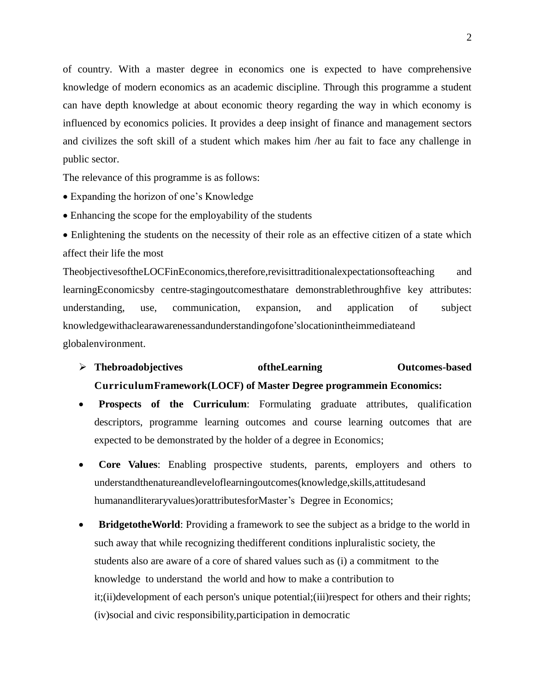of country. With a master degree in economics one is expected to have comprehensive knowledge of modern economics as an academic discipline. Through this programme a student can have depth knowledge at about economic theory regarding the way in which economy is influenced by economics policies. It provides a deep insight of finance and management sectors and civilizes the soft skill of a student which makes him /her au fait to face any challenge in public sector.

The relevance of this programme is as follows:

- Expanding the horizon of one's Knowledge
- Enhancing the scope for the employability of the students
- Enlightening the students on the necessity of their role as an effective citizen of a state which affect their life the most

TheobjectivesoftheLOCFinEconomics,therefore,revisittraditionalexpectationsofteaching and learningEconomicsby centre-stagingoutcomesthatare demonstrablethroughfive key attributes: understanding, use, communication, expansion, and application of subject knowledgewithaclearawarenessandunderstandingofone'slocationintheimmediateand globalenvironment.

- **Thebroadobjectives oftheLearning Outcomes-based CurriculumFramework(LOCF) of Master Degree programmein Economics:**
- **Prospects of the Curriculum**: Formulating graduate attributes, qualification descriptors, programme learning outcomes and course learning outcomes that are expected to be demonstrated by the holder of a degree in Economics;
- **Core Values**: Enabling prospective students, parents, employers and others to understandthenatureandleveloflearningoutcomes(knowledge,skills,attitudesand humanandliteraryvalues)orattributesforMaster's Degree in Economics;
- **BridgetotheWorld:** Providing a framework to see the subject as a bridge to the world in such away that while recognizing thedifferent conditions inpluralistic society, the students also are aware of a core of shared values such as (i) a commitment to the knowledge to understand the world and how to make a contribution to it;(ii)development of each person's unique potential;(iii)respect for others and their rights; (iv)social and civic responsibility,participation in democratic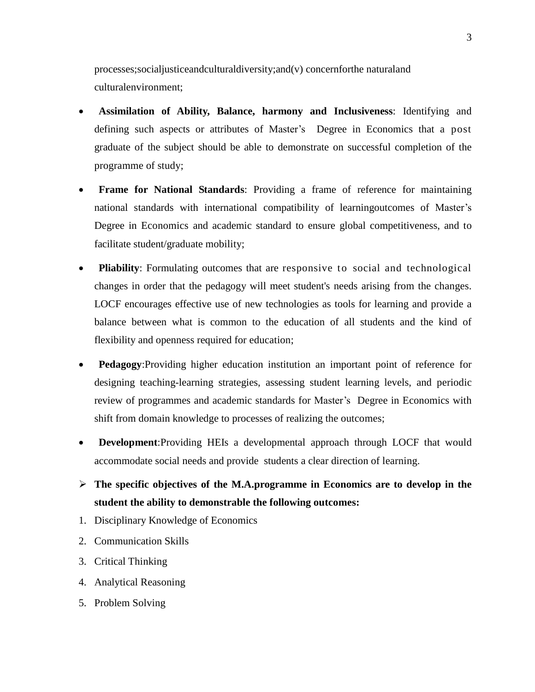processes;socialjusticeandculturaldiversity;and(v) concernforthe naturaland culturalenvironment;

- **Assimilation of Ability, Balance, harmony and Inclusiveness**: Identifying and defining such aspects or attributes of Master's Degree in Economics that a post graduate of the subject should be able to demonstrate on successful completion of the programme of study;
- **Frame for National Standards**: Providing a frame of reference for maintaining national standards with international compatibility of learningoutcomes of Master's Degree in Economics and academic standard to ensure global competitiveness, and to facilitate student/graduate mobility;
- **Pliability**: Formulating outcomes that are responsive to social and technological changes in order that the pedagogy will meet student's needs arising from the changes. LOCF encourages effective use of new technologies as tools for learning and provide a balance between what is common to the education of all students and the kind of flexibility and openness required for education;
- **Pedagogy**:Providing higher education institution an important point of reference for designing teaching-learning strategies, assessing student learning levels, and periodic review of programmes and academic standards for Master's Degree in Economics with shift from domain knowledge to processes of realizing the outcomes;
- **Development**:Providing HEIs a developmental approach through LOCF that would accommodate social needs and provide students a clear direction of learning.
- **The specific objectives of the M.A.programme in Economics are to develop in the student the ability to demonstrable the following outcomes:**
- 1. Disciplinary Knowledge of Economics
- 2. Communication Skills
- 3. Critical Thinking
- 4. Analytical Reasoning
- 5. Problem Solving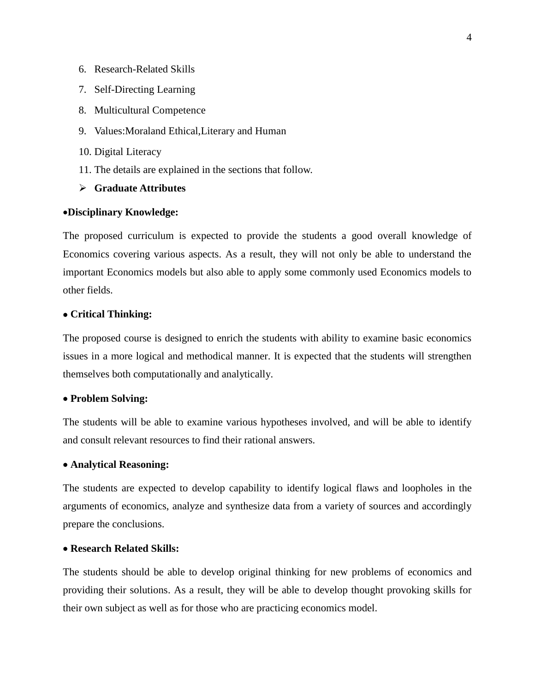- 6. Research-Related Skills
- 7. Self-Directing Learning
- 8. Multicultural Competence
- 9. Values:Moraland Ethical,Literary and Human
- 10. Digital Literacy
- 11. The details are explained in the sections that follow.
- **Graduate Attributes**

### **Disciplinary Knowledge:**

The proposed curriculum is expected to provide the students a good overall knowledge of Economics covering various aspects. As a result, they will not only be able to understand the important Economics models but also able to apply some commonly used Economics models to other fields.

## **Critical Thinking:**

The proposed course is designed to enrich the students with ability to examine basic economics issues in a more logical and methodical manner. It is expected that the students will strengthen themselves both computationally and analytically.

## **Problem Solving:**

The students will be able to examine various hypotheses involved, and will be able to identify and consult relevant resources to find their rational answers.

#### **Analytical Reasoning:**

The students are expected to develop capability to identify logical flaws and loopholes in the arguments of economics, analyze and synthesize data from a variety of sources and accordingly prepare the conclusions.

### **Research Related Skills:**

The students should be able to develop original thinking for new problems of economics and providing their solutions. As a result, they will be able to develop thought provoking skills for their own subject as well as for those who are practicing economics model.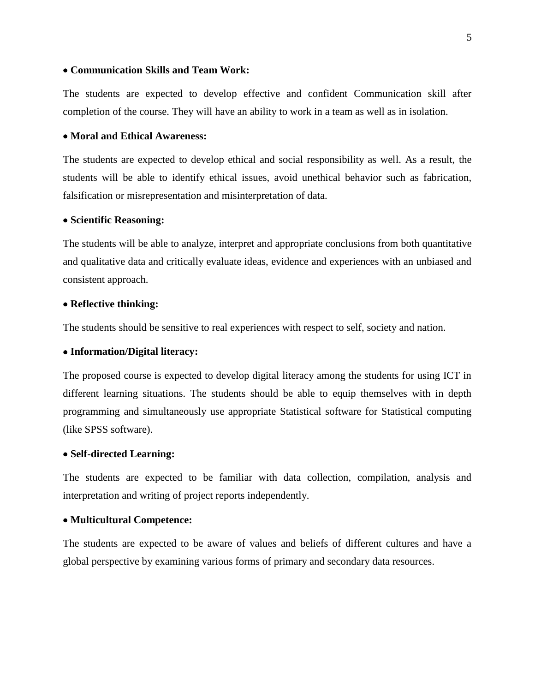### **Communication Skills and Team Work:**

The students are expected to develop effective and confident Communication skill after completion of the course. They will have an ability to work in a team as well as in isolation.

### **Moral and Ethical Awareness:**

The students are expected to develop ethical and social responsibility as well. As a result, the students will be able to identify ethical issues, avoid unethical behavior such as fabrication, falsification or misrepresentation and misinterpretation of data.

#### **Scientific Reasoning:**

The students will be able to analyze, interpret and appropriate conclusions from both quantitative and qualitative data and critically evaluate ideas, evidence and experiences with an unbiased and consistent approach.

#### **Reflective thinking:**

The students should be sensitive to real experiences with respect to self, society and nation.

### **Information/Digital literacy:**

The proposed course is expected to develop digital literacy among the students for using ICT in different learning situations. The students should be able to equip themselves with in depth programming and simultaneously use appropriate Statistical software for Statistical computing (like SPSS software).

#### **Self-directed Learning:**

The students are expected to be familiar with data collection, compilation, analysis and interpretation and writing of project reports independently.

### **Multicultural Competence:**

The students are expected to be aware of values and beliefs of different cultures and have a global perspective by examining various forms of primary and secondary data resources.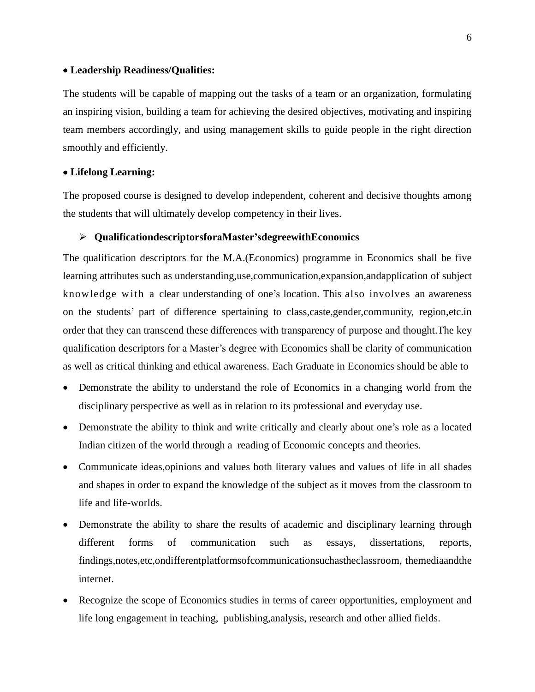## **Leadership Readiness/Qualities:**

The students will be capable of mapping out the tasks of a team or an organization, formulating an inspiring vision, building a team for achieving the desired objectives, motivating and inspiring team members accordingly, and using management skills to guide people in the right direction smoothly and efficiently.

## **Lifelong Learning:**

The proposed course is designed to develop independent, coherent and decisive thoughts among the students that will ultimately develop competency in their lives.

### **QualificationdescriptorsforaMaster'sdegreewithEconomics**

The qualification descriptors for the M.A.(Economics) programme in Economics shall be five learning attributes such as understanding,use,communication,expansion,andapplication of subject knowledge with a clear understanding of one's location. This also involves an awareness on the students' part of difference spertaining to class,caste,gender,community, region,etc.in order that they can transcend these differences with transparency of purpose and thought.The key qualification descriptors for a Master's degree with Economics shall be clarity of communication as well as critical thinking and ethical awareness. Each Graduate in Economics should be able to

- Demonstrate the ability to understand the role of Economics in a changing world from the disciplinary perspective as well as in relation to its professional and everyday use.
- Demonstrate the ability to think and write critically and clearly about one's role as a located Indian citizen of the world through a reading of Economic concepts and theories.
- Communicate ideas,opinions and values both literary values and values of life in all shades and shapes in order to expand the knowledge of the subject as it moves from the classroom to life and life-worlds.
- Demonstrate the ability to share the results of academic and disciplinary learning through different forms of communication such as essays, dissertations, reports, findings,notes,etc,ondifferentplatformsofcommunicationsuchastheclassroom, themediaandthe internet.
- Recognize the scope of Economics studies in terms of career opportunities, employment and life long engagement in teaching, publishing,analysis, research and other allied fields.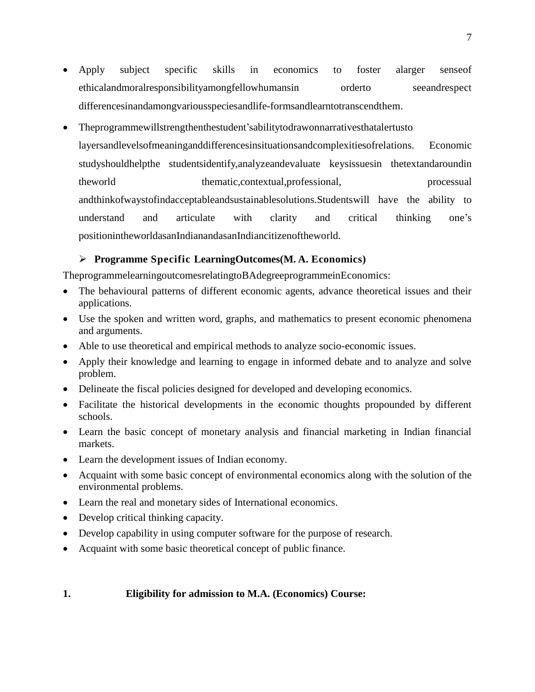- Apply subject specific skills in economics to foster alarger senseof ethicalandmoralresponsibilityamongfellowhumansin orderto seeandrespect differencesinandamongvariousspeciesandlife-formsandlearntotranscendthem.
- Theprogrammewillstrengthenthestudent'sabilitytodrawonnarrativesthatalertusto layersandlevelsofmeaninganddifferencesinsituationsandcomplexitiesofrelations. Economic studyshouldhelpthe studentsidentify,analyzeandevaluate keysissuesin thetextandaroundin theworld thematic,contextual,professional, processual processual andthinkofwaystofindacceptableandsustainablesolutions.Studentswill have the ability to understand and articulate with clarity and critical thinking one's positionintheworldasanIndianandasanIndiancitizenoftheworld.

## **Programme Specific LearningOutcomes(M. A. Economics)**

TheprogrammelearningoutcomesrelatingtoBAdegreeprogrammeinEconomics:

- The behavioural patterns of different economic agents, advance theoretical issues and their applications.
- Use the spoken and written word, graphs, and mathematics to present economic phenomena and arguments.
- Able to use theoretical and empirical methods to analyze socio-economic issues.
- Apply their knowledge and learning to engage in informed debate and to analyze and solve problem.
- Delineate the fiscal policies designed for developed and developing economics.
- Facilitate the historical developments in the economic thoughts propounded by different schools.
- Learn the basic concept of monetary analysis and financial marketing in Indian financial markets.
- Learn the development issues of Indian economy.
- Acquaint with some basic concept of environmental economics along with the solution of the environmental problems.
- Learn the real and monetary sides of International economics.
- Develop critical thinking capacity.
- Develop capability in using computer software for the purpose of research.
- Acquaint with some basic theoretical concept of public finance.

## **1. Eligibility for admission to M.A. (Economics) Course:**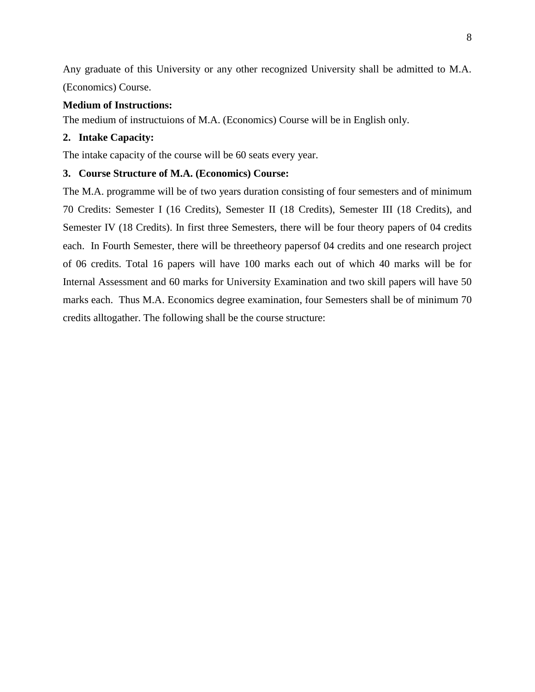Any graduate of this University or any other recognized University shall be admitted to M.A. (Economics) Course.

## **Medium of Instructions:**

The medium of instructuions of M.A. (Economics) Course will be in English only.

### **2. Intake Capacity:**

The intake capacity of the course will be 60 seats every year.

## **3. Course Structure of M.A. (Economics) Course:**

The M.A. programme will be of two years duration consisting of four semesters and of minimum 70 Credits: Semester I (16 Credits), Semester II (18 Credits), Semester III (18 Credits), and Semester IV (18 Credits). In first three Semesters, there will be four theory papers of 04 credits each. In Fourth Semester, there will be threetheory papersof 04 credits and one research project of 06 credits. Total 16 papers will have 100 marks each out of which 40 marks will be for Internal Assessment and 60 marks for University Examination and two skill papers will have 50 marks each. Thus M.A. Economics degree examination, four Semesters shall be of minimum 70 credits alltogather. The following shall be the course structure: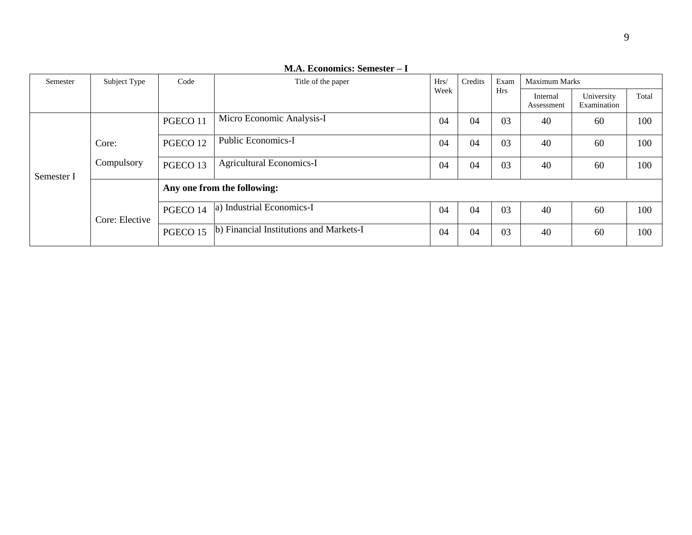| Semester   | Subject Type   | Code                        | Hrs/<br>Title of the paper<br>Week      |    | Credits | Exam<br><b>Hrs</b> | <b>Maximum Marks</b>   |                           |       |  |
|------------|----------------|-----------------------------|-----------------------------------------|----|---------|--------------------|------------------------|---------------------------|-------|--|
|            |                |                             |                                         |    |         |                    | Internal<br>Assessment | University<br>Examination | Total |  |
| Semester I |                | PGECO 11                    | Micro Economic Analysis-I               | 04 | 04      | 03                 | 40                     | 60                        | 100   |  |
|            | Core:          | PGECO <sub>12</sub>         | <b>Public Economics-I</b>               | 04 | 04      | 03                 | 40                     | 60                        | 100   |  |
|            | Compulsory     | PGECO <sub>13</sub>         | <b>Agricultural Economics-I</b>         | 04 | 04      | 03                 | 40                     | 60                        | 100   |  |
|            |                | Any one from the following: |                                         |    |         |                    |                        |                           |       |  |
|            | Core: Elective | PGECO 14                    | a) Industrial Economics-I               | 04 | 04      | 03                 | 40                     | 60                        | 100   |  |
|            |                | PGECO 15                    | b) Financial Institutions and Markets-I |    | 04      | 03                 | 40                     | 60                        | 100   |  |

**M.A. Economics: Semester – I**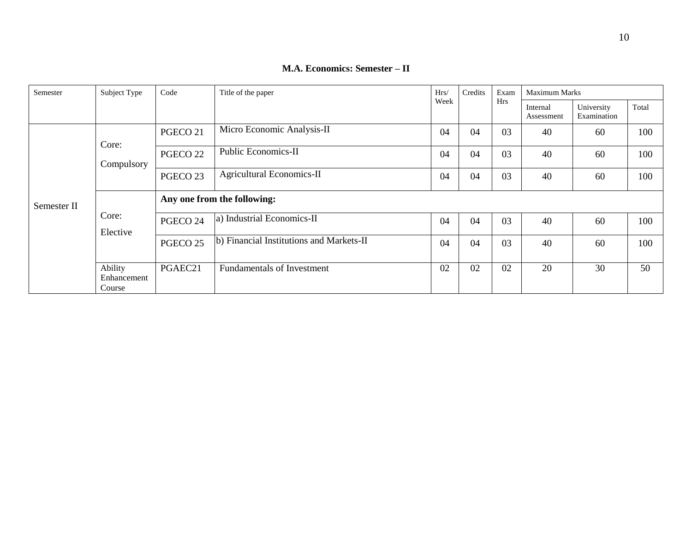| Semester    | Subject Type                     | Code                        | Title of the paper                       | Hrs/ |    | Exam | <b>Maximum Marks</b>   |                           |       |  |  |
|-------------|----------------------------------|-----------------------------|------------------------------------------|------|----|------|------------------------|---------------------------|-------|--|--|
|             |                                  |                             |                                          | Week |    | Hrs  | Internal<br>Assessment | University<br>Examination | Total |  |  |
|             | Core:<br>Compulsory              | PGECO <sub>21</sub>         | Micro Economic Analysis-II               | 04   | 04 | 03   | 40                     | 60                        | 100   |  |  |
|             |                                  | PGECO <sub>22</sub>         | <b>Public Economics-II</b>               | 04   | 04 | 03   | 40                     | 60                        | 100   |  |  |
|             |                                  | PGECO <sub>23</sub>         | <b>Agricultural Economics-II</b>         | 04   | 04 | 03   | 40                     | 60                        | 100   |  |  |
| Semester II | Core:<br>Elective                | Any one from the following: |                                          |      |    |      |                        |                           |       |  |  |
|             |                                  | PGECO 24                    | a) Industrial Economics-II               | 04   | 04 | 03   | 40                     | 60                        | 100   |  |  |
|             |                                  | PGECO <sub>25</sub>         | b) Financial Institutions and Markets-II |      | 04 | 03   | 40                     | 60                        | 100   |  |  |
|             | Ability<br>Enhancement<br>Course | PGAEC21                     | <b>Fundamentals of Investment</b>        |      | 02 | 02   | 20                     | 30                        | 50    |  |  |

**M.A. Economics: Semester – II**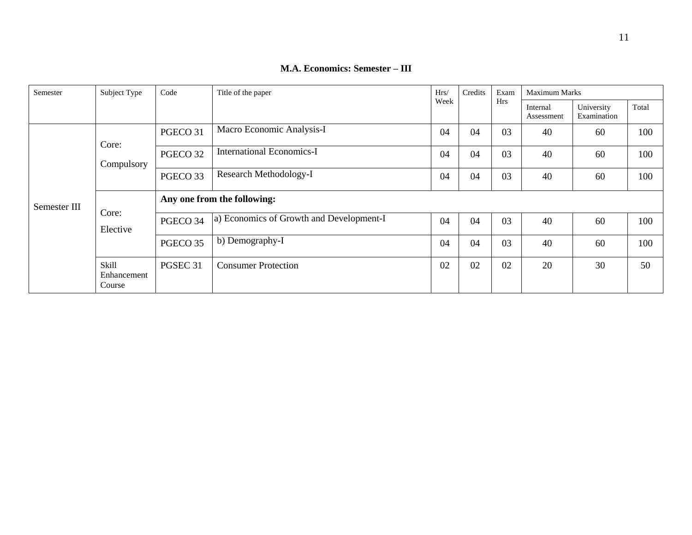| Semester     | Subject Type                   | Code                        | Title of the paper                       |    | Credits | Exam       | <b>Maximum Marks</b>   |                           |       |  |  |
|--------------|--------------------------------|-----------------------------|------------------------------------------|----|---------|------------|------------------------|---------------------------|-------|--|--|
|              |                                |                             |                                          |    |         | <b>Hrs</b> | Internal<br>Assessment | University<br>Examination | Total |  |  |
|              | Core:<br>Compulsory            | PGECO 31                    | Macro Economic Analysis-I                |    | 04      | 03         | 40                     | 60                        | 100   |  |  |
|              |                                | PGECO 32                    | <b>International Economics-I</b>         | 04 | 04      | 03         | 40                     | 60                        | 100   |  |  |
|              |                                | PGECO 33                    | Research Methodology-I                   |    | 04      | 03         | 40                     | 60                        | 100   |  |  |
| Semester III | Core:<br>Elective              | Any one from the following: |                                          |    |         |            |                        |                           |       |  |  |
|              |                                | PGECO 34                    | a) Economics of Growth and Development-I | 04 | 04      | 03         | 40                     | 60                        | 100   |  |  |
|              |                                | PGECO 35                    | b) Demography-I                          |    | 04      | 03         | 40                     | 60                        | 100   |  |  |
|              | Skill<br>Enhancement<br>Course | PGSEC <sub>31</sub>         | <b>Consumer Protection</b>               |    | 02      | 02         | 20                     | 30                        | 50    |  |  |

## **M.A. Economics: Semester – III**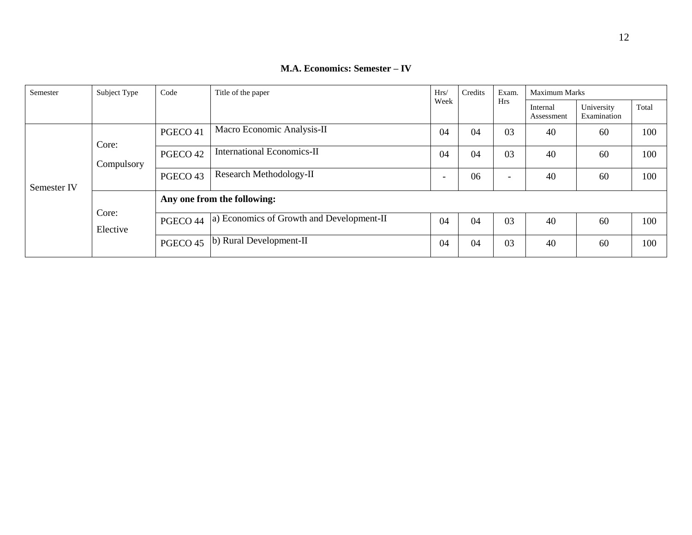| Semester    | Subject Type        | Code                        | Title of the paper                        | Hrs/ | Credits    |                        | <b>Maximum Marks</b>      |       |     |
|-------------|---------------------|-----------------------------|-------------------------------------------|------|------------|------------------------|---------------------------|-------|-----|
|             |                     |                             | Week                                      |      | <b>Hrs</b> | Internal<br>Assessment | University<br>Examination | Total |     |
| Semester IV | Core:<br>Compulsory | PGECO 41                    | Macro Economic Analysis-II                | 04   | 04         | 03                     | 40                        | 60    | 100 |
|             |                     | PGECO <sub>42</sub>         | <b>International Economics-II</b>         | 04   | 04         | 03                     | 40                        | 60    | 100 |
|             |                     | PGECO 43                    | Research Methodology-II                   | -    | 06         | $\qquad \qquad -$      | 40                        | 60    | 100 |
|             | Core:<br>Elective   | Any one from the following: |                                           |      |            |                        |                           |       |     |
|             |                     | PGECO 44                    | a) Economics of Growth and Development-II |      | 04         | 03                     | 40                        | 60    | 100 |
|             |                     | PGECO 45                    | b) Rural Development-II                   |      | 04         | 03                     | 40                        | 60    | 100 |

## **M.A. Economics: Semester – IV**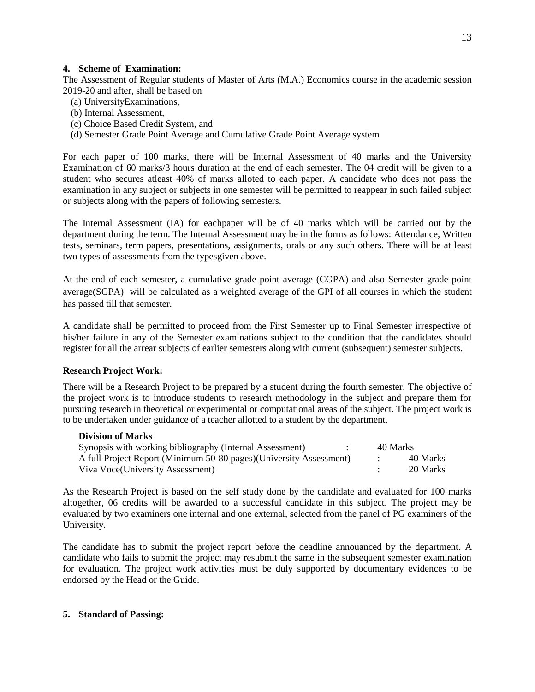### **4. Scheme of Examination:**

The Assessment of Regular students of Master of Arts (M.A.) Economics course in the academic session 2019-20 and after, shall be based on

- (a) UniversityExaminations,
- (b) Internal Assessment,
- (c) Choice Based Credit System, and
- (d) Semester Grade Point Average and Cumulative Grade Point Average system

For each paper of 100 marks, there will be Internal Assessment of 40 marks and the University Examination of 60 marks/3 hours duration at the end of each semester. The 04 credit will be given to a student who secures atleast 40% of marks alloted to each paper. A candidate who does not pass the examination in any subject or subjects in one semester will be permitted to reappear in such failed subject or subjects along with the papers of following semesters.

The Internal Assessment (IA) for eachpaper will be of 40 marks which will be carried out by the department during the term. The Internal Assessment may be in the forms as follows: Attendance, Written tests, seminars, term papers, presentations, assignments, orals or any such others. There will be at least two types of assessments from the typesgiven above.

At the end of each semester, a cumulative grade point average (CGPA) and also Semester grade point average(SGPA) will be calculated as a weighted average of the GPI of all courses in which the student has passed till that semester.

A candidate shall be permitted to proceed from the First Semester up to Final Semester irrespective of his/her failure in any of the Semester examinations subject to the condition that the candidates should register for all the arrear subjects of earlier semesters along with current (subsequent) semester subjects.

#### **Research Project Work:**

There will be a Research Project to be prepared by a student during the fourth semester. The objective of the project work is to introduce students to research methodology in the subject and prepare them for pursuing research in theoretical or experimental or computational areas of the subject. The project work is to be undertaken under guidance of a teacher allotted to a student by the department.

#### **Division of Marks**

| Synopsis with working bibliography (Internal Assessment)            | 40 Marks |
|---------------------------------------------------------------------|----------|
| A full Project Report (Minimum 50-80 pages) (University Assessment) | 40 Marks |
| Viva Voce(University Assessment)                                    | 20 Marks |

As the Research Project is based on the self study done by the candidate and evaluated for 100 marks altogether, 06 credits will be awarded to a successful candidate in this subject. The project may be evaluated by two examiners one internal and one external, selected from the panel of PG examiners of the University.

The candidate has to submit the project report before the deadline annouanced by the department. A candidate who fails to submit the project may resubmit the same in the subsequent semester examination for evaluation. The project work activities must be duly supported by documentary evidences to be endorsed by the Head or the Guide.

#### **5. Standard of Passing:**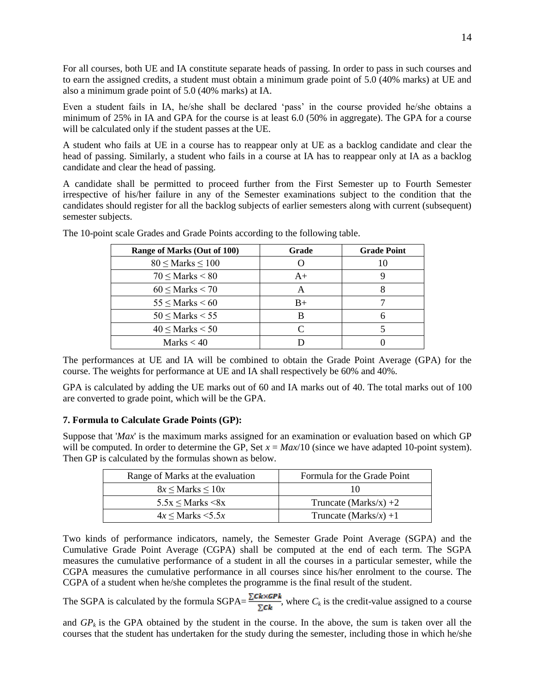For all courses, both UE and IA constitute separate heads of passing. In order to pass in such courses and to earn the assigned credits, a student must obtain a minimum grade point of 5.0 (40% marks) at UE and also a minimum grade point of 5.0 (40% marks) at IA.

Even a student fails in IA, he/she shall be declared 'pass' in the course provided he/she obtains a minimum of 25% in IA and GPA for the course is at least 6.0 (50% in aggregate). The GPA for a course will be calculated only if the student passes at the UE.

A student who fails at UE in a course has to reappear only at UE as a backlog candidate and clear the head of passing. Similarly, a student who fails in a course at IA has to reappear only at IA as a backlog candidate and clear the head of passing.

A candidate shall be permitted to proceed further from the First Semester up to Fourth Semester irrespective of his/her failure in any of the Semester examinations subject to the condition that the candidates should register for all the backlog subjects of earlier semesters along with current (subsequent) semester subjects.

| Range of Marks (Out of 100) | Grade | <b>Grade Point</b> |
|-----------------------------|-------|--------------------|
| $80 \leq$ Marks $\leq 100$  |       | 10                 |
| $70 \leq$ Marks $\leq 80$   | $A+$  |                    |
| $60 \leq$ Marks $< 70$      | A     |                    |
| $55 \leq$ Marks $\leq 60$   | $B+$  |                    |
| $50 \leq$ Marks $\leq 55$   |       |                    |
| $40 \leq$ Marks $< 50$      |       |                    |
| Marks $< 40$                |       |                    |

The 10-point scale Grades and Grade Points according to the following table.

The performances at UE and IA will be combined to obtain the Grade Point Average (GPA) for the course. The weights for performance at UE and IA shall respectively be 60% and 40%.

GPA is calculated by adding the UE marks out of 60 and IA marks out of 40. The total marks out of 100 are converted to grade point, which will be the GPA.

## **7. Formula to Calculate Grade Points (GP):**

Suppose that '*Max*' is the maximum marks assigned for an examination or evaluation based on which GP will be computed. In order to determine the GP, Set  $x = \frac{Max}{10}$  (since we have adapted 10-point system). Then GP is calculated by the formulas shown as below.

| Range of Marks at the evaluation | Formula for the Grade Point |
|----------------------------------|-----------------------------|
| $8x \leq$ Marks $\leq 10x$       |                             |
| $5.5x \leq$ Marks $\leq 8x$      | Truncate (Marks/x) $+2$     |
| $4x \leq$ Marks $\leq 5.5x$      | Truncate (Marks/x) +1       |

Two kinds of performance indicators, namely, the Semester Grade Point Average (SGPA) and the Cumulative Grade Point Average (CGPA) shall be computed at the end of each term. The SGPA measures the cumulative performance of a student in all the courses in a particular semester, while the CGPA measures the cumulative performance in all courses since his/her enrolment to the course. The CGPA of a student when he/she completes the programme is the final result of the student.

The SGPA is calculated by the formula SGPA= $\frac{\angle C_{k} \times \angle R}{F_{k}}$ , where  $C_{k}$  is the credit-value assigned to a course

and  $GP_k$  is the GPA obtained by the student in the course. In the above, the sum is taken over all the courses that the student has undertaken for the study during the semester, including those in which he/she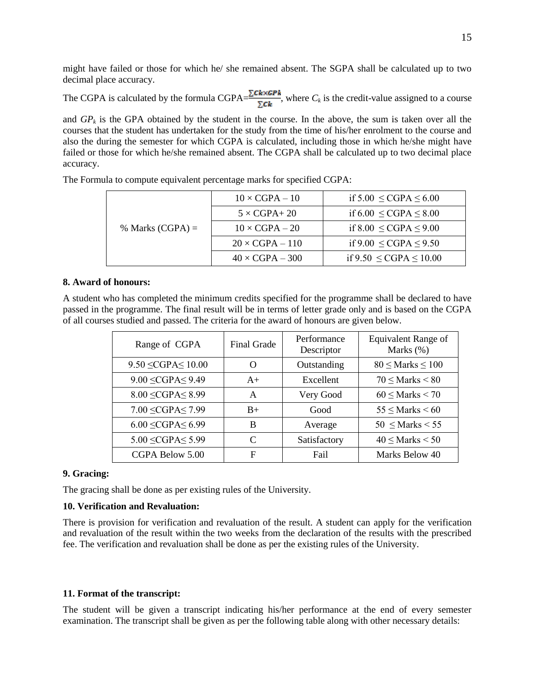might have failed or those for which he/ she remained absent. The SGPA shall be calculated up to two decimal place accuracy.

The CGPA is calculated by the formula CGPA $=\frac{\sum_{k=1}^{n} x_k}{n}$ , where  $C_k$  is the credit-value assigned to a course

and  $GP_k$  is the GPA obtained by the student in the course. In the above, the sum is taken over all the courses that the student has undertaken for the study from the time of his/her enrolment to the course and also the during the semester for which CGPA is calculated, including those in which he/she might have failed or those for which he/she remained absent. The CGPA shall be calculated up to two decimal place accuracy.

|                    | $10 \times CGPA - 10$  | if $5.00 \leq CGPA \leq 6.00$  |
|--------------------|------------------------|--------------------------------|
|                    | $5 \times CGPA + 20$   | if $6.00 \leq CGPA \leq 8.00$  |
| % Marks $(CGPA) =$ | $10 \times CGPA - 20$  | if $8.00 \leq CGPA \leq 9.00$  |
|                    | $20 \times CGPA - 110$ | if $9.00 \leq CGPA \leq 9.50$  |
|                    | $40 \times CGPA - 300$ | if $9.50 \leq CGPA \leq 10.00$ |

The Formula to compute equivalent percentage marks for specified CGPA:

#### **8. Award of honours:**

A student who has completed the minimum credits specified for the programme shall be declared to have passed in the programme. The final result will be in terms of letter grade only and is based on the CGPA of all courses studied and passed. The criteria for the award of honours are given below.

| Range of CGPA               | <b>Final Grade</b> | Performance<br>Descriptor | <b>Equivalent Range of</b><br>Marks (%) |
|-----------------------------|--------------------|---------------------------|-----------------------------------------|
| $9.50 \leq CGPA \leq 10.00$ | O                  | Outstanding               | $80 \leq$ Marks $\leq 100$              |
| $9.00 \leq CGPA \leq 9.49$  | $A+$               | Excellent                 | $70 \leq$ Marks $\leq 80$               |
| $8.00 \leq CGPA \leq 8.99$  | A                  | Very Good                 | $60 \leq$ Marks < 70                    |
| $7.00 \leq CGPA \leq 7.99$  | $B+$               | Good                      | $55 \leq$ Marks $\leq 60$               |
| $6.00 \leq CGPA \leq 6.99$  | B                  | Average                   | $50 \leq$ Marks $\leq 55$               |
| $5.00 \leq CGPA \leq 5.99$  | $\subset$          | Satisfactory              | $40 \leq$ Marks $< 50$                  |
| CGPA Below 5.00             | F                  | Fail                      | Marks Below 40                          |

#### **9. Gracing:**

The gracing shall be done as per existing rules of the University.

#### **10. Verification and Revaluation:**

There is provision for verification and revaluation of the result. A student can apply for the verification and revaluation of the result within the two weeks from the declaration of the results with the prescribed fee. The verification and revaluation shall be done as per the existing rules of the University.

#### **11. Format of the transcript:**

The student will be given a transcript indicating his/her performance at the end of every semester examination. The transcript shall be given as per the following table along with other necessary details: